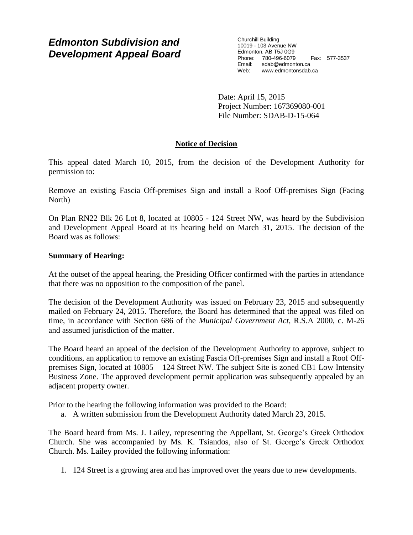## *Edmonton Subdivision and Development Appeal Board*

Churchill Building 10019 - 103 Avenue NW Edmonton, AB T5J 0G9 Phone: 780-496-6079 Fax: 577-3537 Email: sdab@edmonton.ca<br>Web: www.edmonton.ca Web: www.edmontonsdab.ca

Date: April 15, 2015 Project Number: 167369080-001 File Number: SDAB-D-15-064

### **Notice of Decision**

This appeal dated March 10, 2015, from the decision of the Development Authority for permission to:

Remove an existing Fascia Off-premises Sign and install a Roof Off-premises Sign (Facing North)

On Plan RN22 Blk 26 Lot 8, located at 10805 - 124 Street NW, was heard by the Subdivision and Development Appeal Board at its hearing held on March 31, 2015. The decision of the Board was as follows:

### **Summary of Hearing:**

At the outset of the appeal hearing, the Presiding Officer confirmed with the parties in attendance that there was no opposition to the composition of the panel.

The decision of the Development Authority was issued on February 23, 2015 and subsequently mailed on February 24, 2015. Therefore, the Board has determined that the appeal was filed on time, in accordance with Section 686 of the *Municipal Government Act*, R.S.A 2000, c. M-26 and assumed jurisdiction of the matter.

The Board heard an appeal of the decision of the Development Authority to approve, subject to conditions, an application to remove an existing Fascia Off-premises Sign and install a Roof Offpremises Sign, located at 10805 – 124 Street NW. The subject Site is zoned CB1 Low Intensity Business Zone. The approved development permit application was subsequently appealed by an adjacent property owner.

Prior to the hearing the following information was provided to the Board:

a. A written submission from the Development Authority dated March 23, 2015.

The Board heard from Ms. J. Lailey, representing the Appellant, St. George's Greek Orthodox Church. She was accompanied by Ms. K. Tsiandos, also of St. George's Greek Orthodox Church. Ms. Lailey provided the following information:

1. 124 Street is a growing area and has improved over the years due to new developments.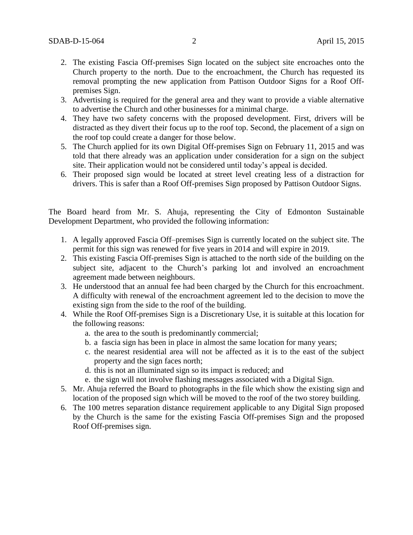- 2. The existing Fascia Off-premises Sign located on the subject site encroaches onto the Church property to the north. Due to the encroachment, the Church has requested its removal prompting the new application from Pattison Outdoor Signs for a Roof Offpremises Sign.
- 3. Advertising is required for the general area and they want to provide a viable alternative to advertise the Church and other businesses for a minimal charge.
- 4. They have two safety concerns with the proposed development. First, drivers will be distracted as they divert their focus up to the roof top. Second, the placement of a sign on the roof top could create a danger for those below.
- 5. The Church applied for its own Digital Off-premises Sign on February 11, 2015 and was told that there already was an application under consideration for a sign on the subject site. Their application would not be considered until today's appeal is decided.
- 6. Their proposed sign would be located at street level creating less of a distraction for drivers. This is safer than a Roof Off-premises Sign proposed by Pattison Outdoor Signs.

The Board heard from Mr. S. Ahuja, representing the City of Edmonton Sustainable Development Department, who provided the following information:

- 1. A legally approved Fascia Off–premises Sign is currently located on the subject site. The permit for this sign was renewed for five years in 2014 and will expire in 2019.
- 2. This existing Fascia Off-premises Sign is attached to the north side of the building on the subject site, adjacent to the Church's parking lot and involved an encroachment agreement made between neighbours.
- 3. He understood that an annual fee had been charged by the Church for this encroachment. A difficulty with renewal of the encroachment agreement led to the decision to move the existing sign from the side to the roof of the building.
- 4. While the Roof Off-premises Sign is a Discretionary Use, it is suitable at this location for the following reasons:
	- a. the area to the south is predominantly commercial;
	- b. a fascia sign has been in place in almost the same location for many years;
	- c. the nearest residential area will not be affected as it is to the east of the subject property and the sign faces north;
	- d. this is not an illuminated sign so its impact is reduced; and
	- e. the sign will not involve flashing messages associated with a Digital Sign.
- 5. Mr. Ahuja referred the Board to photographs in the file which show the existing sign and location of the proposed sign which will be moved to the roof of the two storey building.
- 6. The 100 metres separation distance requirement applicable to any Digital Sign proposed by the Church is the same for the existing Fascia Off-premises Sign and the proposed Roof Off-premises sign.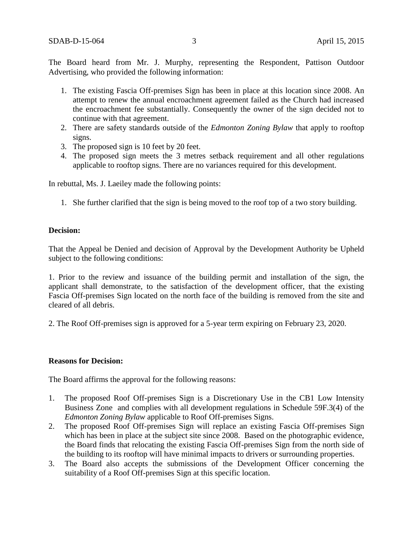The Board heard from Mr. J. Murphy, representing the Respondent, Pattison Outdoor Advertising, who provided the following information:

- 1. The existing Fascia Off-premises Sign has been in place at this location since 2008. An attempt to renew the annual encroachment agreement failed as the Church had increased the encroachment fee substantially. Consequently the owner of the sign decided not to continue with that agreement.
- 2. There are safety standards outside of the *Edmonton Zoning Bylaw* that apply to rooftop signs.
- 3. The proposed sign is 10 feet by 20 feet.
- 4. The proposed sign meets the 3 metres setback requirement and all other regulations applicable to rooftop signs. There are no variances required for this development.

In rebuttal, Ms. J. Laeiley made the following points:

1. She further clarified that the sign is being moved to the roof top of a two story building.

#### **Decision:**

That the Appeal be Denied and decision of Approval by the Development Authority be Upheld subject to the following conditions:

1. Prior to the review and issuance of the building permit and installation of the sign, the applicant shall demonstrate, to the satisfaction of the development officer, that the existing Fascia Off-premises Sign located on the north face of the building is removed from the site and cleared of all debris.

2. The Roof Off-premises sign is approved for a 5-year term expiring on February 23, 2020.

#### **Reasons for Decision:**

The Board affirms the approval for the following reasons:

- 1. The proposed Roof Off-premises Sign is a Discretionary Use in the CB1 Low Intensity Business Zone and complies with all development regulations in Schedule 59F.3(4) of the *Edmonton Zoning Bylaw* applicable to Roof Off-premises Signs.
- 2. The proposed Roof Off-premises Sign will replace an existing Fascia Off-premises Sign which has been in place at the subject site since 2008. Based on the photographic evidence, the Board finds that relocating the existing Fascia Off-premises Sign from the north side of the building to its rooftop will have minimal impacts to drivers or surrounding properties.
- 3. The Board also accepts the submissions of the Development Officer concerning the suitability of a Roof Off-premises Sign at this specific location.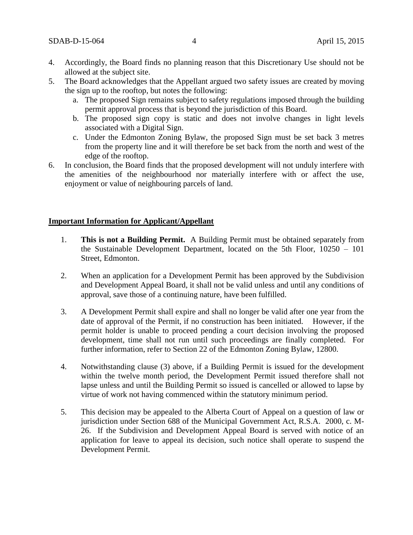- 4. Accordingly, the Board finds no planning reason that this Discretionary Use should not be allowed at the subject site.
- 5. The Board acknowledges that the Appellant argued two safety issues are created by moving the sign up to the rooftop, but notes the following:
	- a. The proposed Sign remains subject to safety regulations imposed through the building permit approval process that is beyond the jurisdiction of this Board.
	- b. The proposed sign copy is static and does not involve changes in light levels associated with a Digital Sign.
	- c. Under the Edmonton Zoning Bylaw, the proposed Sign must be set back 3 metres from the property line and it will therefore be set back from the north and west of the edge of the rooftop.
- 6. In conclusion, the Board finds that the proposed development will not unduly interfere with the amenities of the neighbourhood nor materially interfere with or affect the use, enjoyment or value of neighbouring parcels of land.

#### **Important Information for Applicant/Appellant**

- 1. **This is not a Building Permit.** A Building Permit must be obtained separately from the Sustainable Development Department, located on the 5th Floor, 10250 – 101 Street, Edmonton.
- 2. When an application for a Development Permit has been approved by the Subdivision and Development Appeal Board, it shall not be valid unless and until any conditions of approval, save those of a continuing nature, have been fulfilled.
- 3. A Development Permit shall expire and shall no longer be valid after one year from the date of approval of the Permit, if no construction has been initiated. However, if the permit holder is unable to proceed pending a court decision involving the proposed development, time shall not run until such proceedings are finally completed. For further information, refer to Section 22 of the Edmonton Zoning Bylaw, 12800.
- 4. Notwithstanding clause (3) above, if a Building Permit is issued for the development within the twelve month period, the Development Permit issued therefore shall not lapse unless and until the Building Permit so issued is cancelled or allowed to lapse by virtue of work not having commenced within the statutory minimum period.
- 5. This decision may be appealed to the Alberta Court of Appeal on a question of law or jurisdiction under Section 688 of the Municipal Government Act, R.S.A. 2000, c. M-26. If the Subdivision and Development Appeal Board is served with notice of an application for leave to appeal its decision, such notice shall operate to suspend the Development Permit.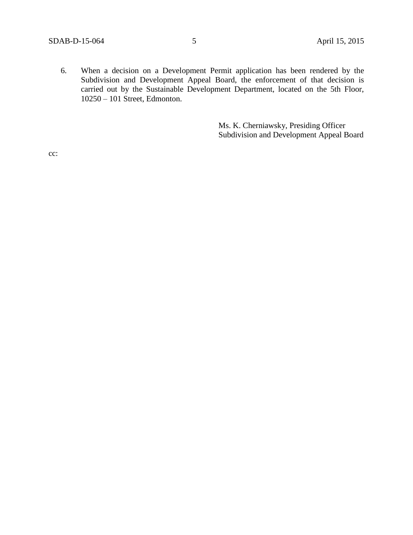6. When a decision on a Development Permit application has been rendered by the Subdivision and Development Appeal Board, the enforcement of that decision is carried out by the Sustainable Development Department, located on the 5th Floor, 10250 – 101 Street, Edmonton.

> Ms. K. Cherniawsky, Presiding Officer Subdivision and Development Appeal Board

cc: